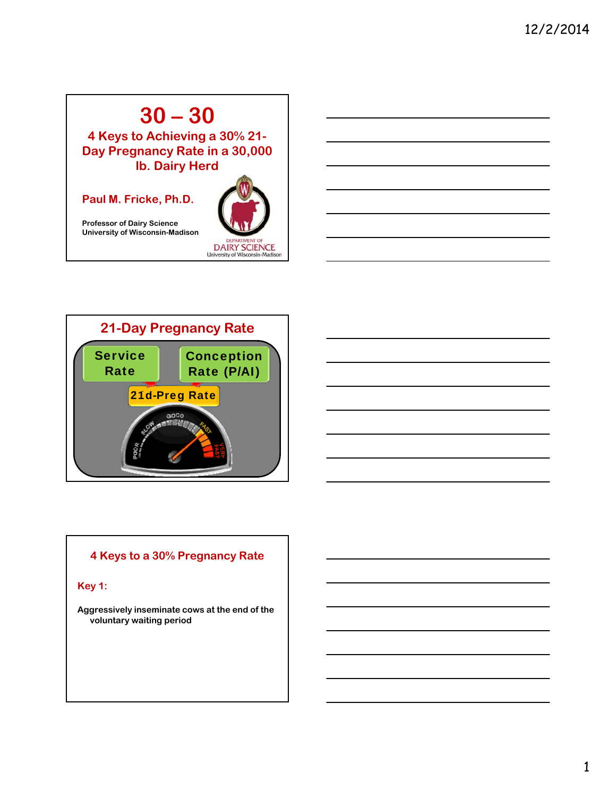# **30 – 30**

**4 Keys to Achieving a 30% 21- Day Pregnancy Rate in a 30,000 lb. Dairy Herd**

### **Paul M. Fricke, Ph.D.**

**Professor of Dairy Science University of Wisconsin-Madison**





### **4 Keys to a 30% Pregnancy Rate**

**Key 1:**

**Aggressively inseminate cows at the end of the voluntary waiting period**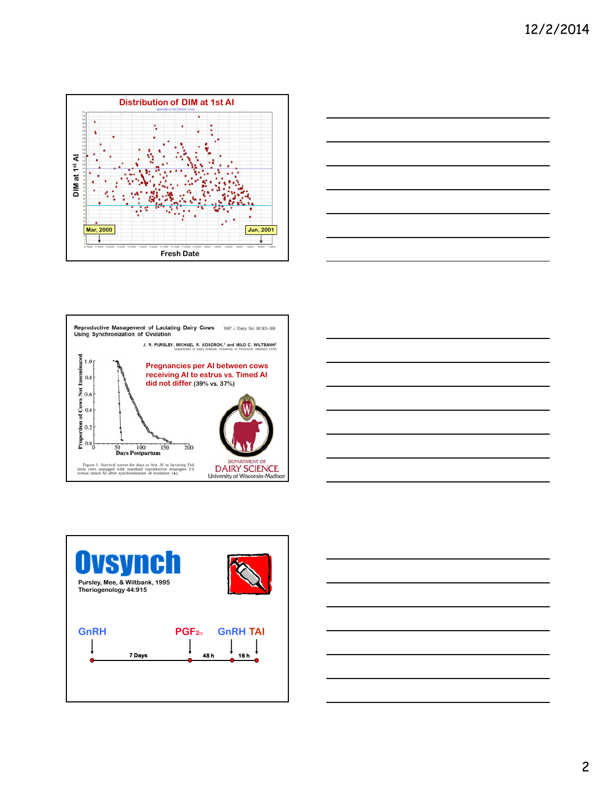









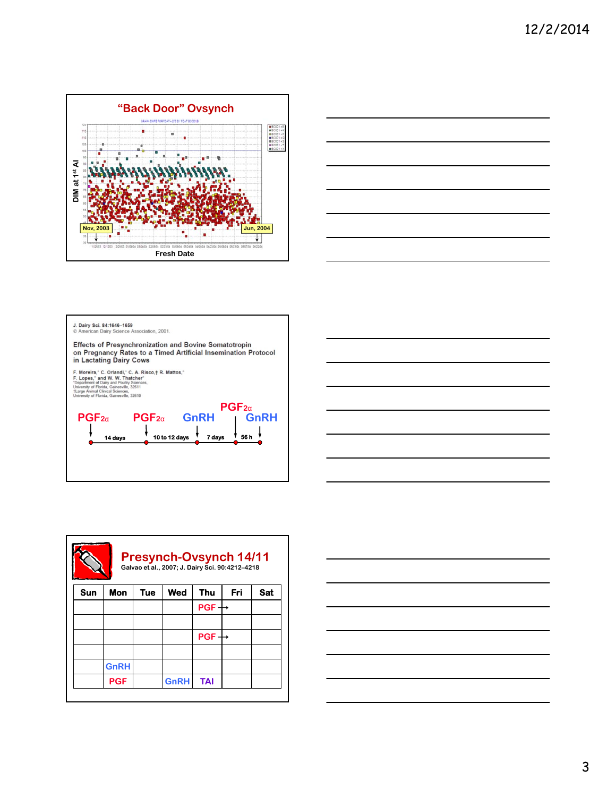







| <b>Presynch-Ovsynch 14/11</b><br>Galvao et al., 2007; J. Dairy Sci. 90:4212-4218 |             |            |             |            |     |            |  |  |
|----------------------------------------------------------------------------------|-------------|------------|-------------|------------|-----|------------|--|--|
| <b>Sun</b>                                                                       | Mon         | <b>Tue</b> | Wed         | <b>Thu</b> | Fri | <b>Sat</b> |  |  |
|                                                                                  |             |            |             | PGF.       |     |            |  |  |
|                                                                                  |             |            |             |            |     |            |  |  |
|                                                                                  |             |            |             | <b>PGF</b> |     |            |  |  |
|                                                                                  |             |            |             |            |     |            |  |  |
|                                                                                  | <b>GnRH</b> |            |             |            |     |            |  |  |
|                                                                                  | <b>PGF</b>  |            | <b>GnRH</b> | <b>TAI</b> |     |            |  |  |

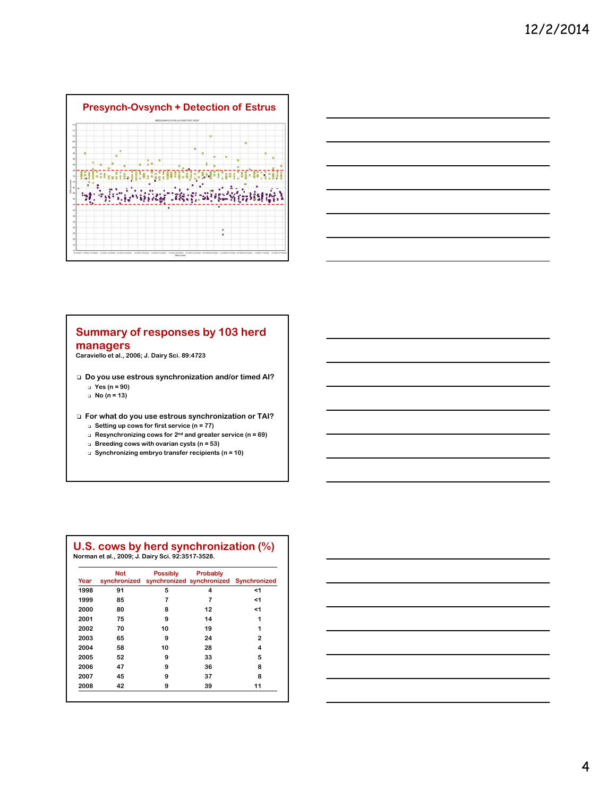



#### **Summary of responses by 103 herd managers**

**Caraviello et al., 2006; J. Dairy Sci. 89:4723**

- **Do you use estrous synchronization and/or timed AI?**
	- **Yes (n = 90)**
	- **No (n = 13)**

**For what do you use estrous synchronization or TAI?**

- **Setting up cows for first service (n = 77)**
- **Resynchronizing cows for 2nd and greater service (n = 69) Breeding cows with ovarian cysts (n = 53)**
- **Synchronizing embryo transfer recipients (n = 10)**

| Year | <b>Not</b><br>synchronized | <b>Possibly</b> | Probably<br>synchronized synchronized Synchronized |    |
|------|----------------------------|-----------------|----------------------------------------------------|----|
| 1998 | 91                         | 5               | 4                                                  | <1 |
| 1999 | 85                         | 7               | 7                                                  | <1 |
| 2000 | 80                         | 8               | 12                                                 | <1 |
| 2001 | 75                         | 9               | 14                                                 | 1  |
| 2002 | 70                         | 10              | 19                                                 | 1  |
| 2003 | 65                         | 9               | 24                                                 | 2  |
| 2004 | 58                         | 10              | 28                                                 | 4  |
| 2005 | 52                         | 9               | 33                                                 | 5  |
| 2006 | 47                         | 9               | 36                                                 | 8  |
| 2007 | 45                         | 9               | 37                                                 | 8  |
| 2008 | 42                         | 9               | 39                                                 | 11 |

# **U.S. cows by herd synchronization (%) Norman et al., 2009; J. Dairy Sci. 92:3517-3528.**

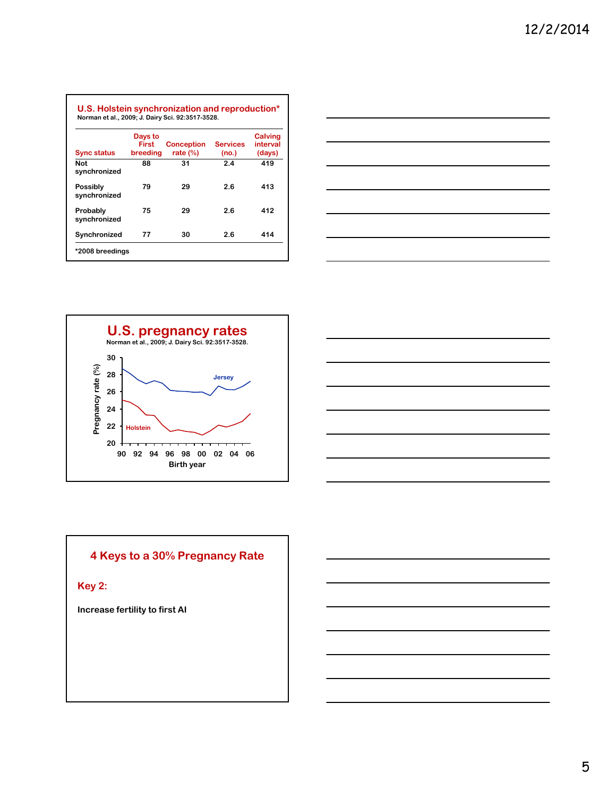| <b>Sync status</b>              | Days to<br>First<br>breeding | <b>Conception</b><br>rate $(\%)$ | <b>Services</b><br>(no.) | <b>Calving</b><br>interval<br>(days) |
|---------------------------------|------------------------------|----------------------------------|--------------------------|--------------------------------------|
| <b>Not</b><br>synchronized      | 88                           | 31                               | 2.4                      | 419                                  |
| <b>Possibly</b><br>synchronized | 79                           | 29                               | 2.6                      | 413                                  |
| Probably<br>synchronized        | 75                           | 29                               | 2.6                      | 412                                  |
| Synchronized                    | 77                           | 30                               | 2.6                      | 414                                  |







## **4 Keys to a 30% Pregnancy Rate**

**Key 2:**

**Increase fertility to first AI**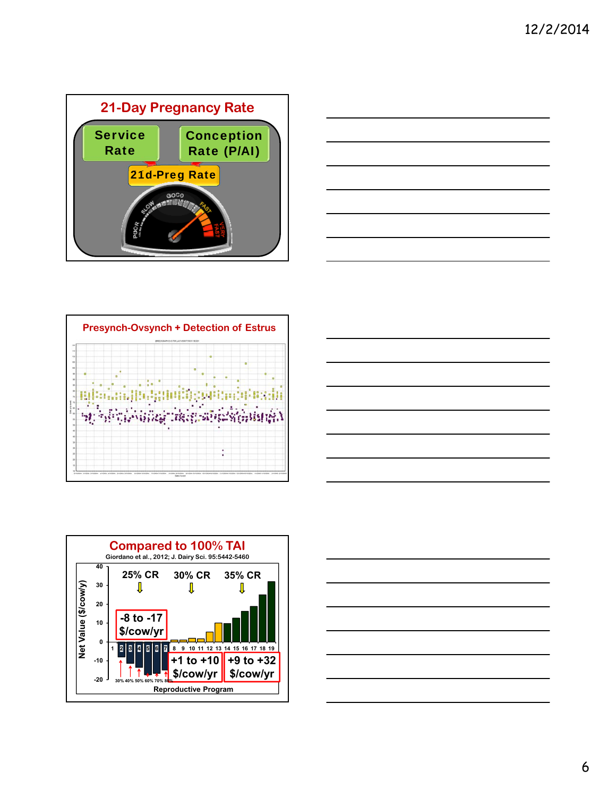









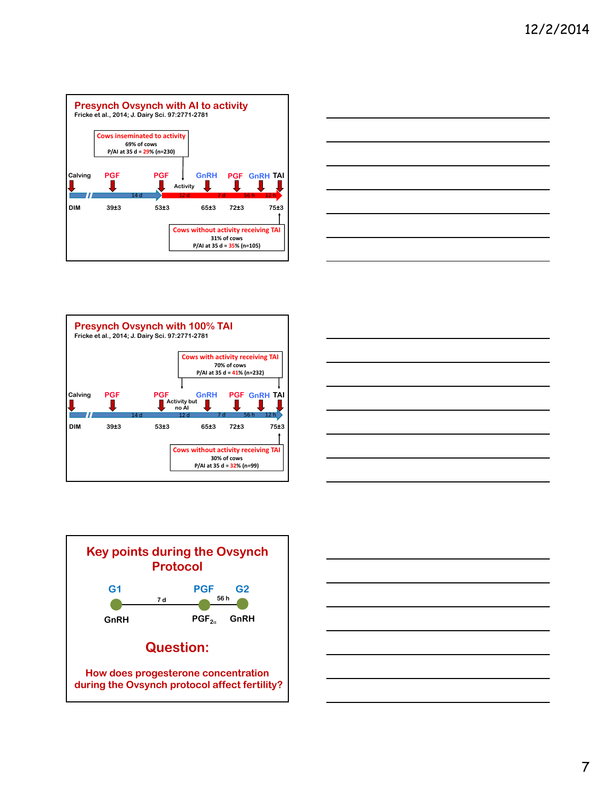









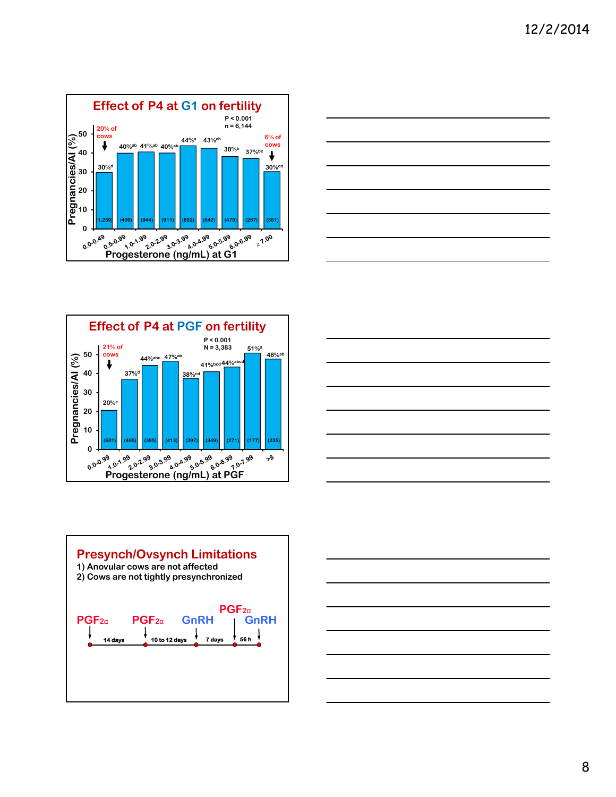









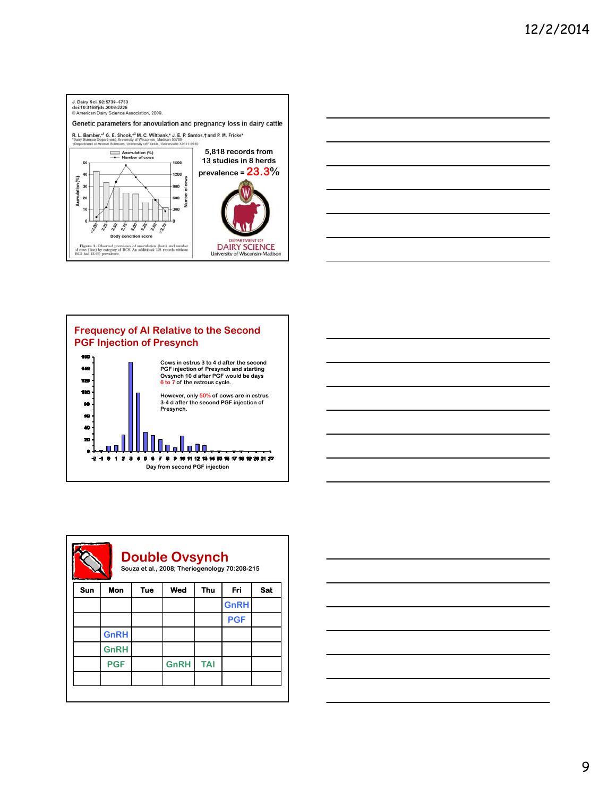







| <b>Double Ovsynch</b><br>Souza et al., 2008; Theriogenology 70:208-215 |             |            |             |            |             |            |  |  |
|------------------------------------------------------------------------|-------------|------------|-------------|------------|-------------|------------|--|--|
| Sun                                                                    | <b>Mon</b>  | <b>Tue</b> | Wed         | <b>Thu</b> | Fri         | <b>Sat</b> |  |  |
|                                                                        |             |            |             |            | <b>GnRH</b> |            |  |  |
|                                                                        |             |            |             |            | <b>PGF</b>  |            |  |  |
|                                                                        | <b>GnRH</b> |            |             |            |             |            |  |  |
|                                                                        | <b>GnRH</b> |            |             |            |             |            |  |  |
|                                                                        | <b>PGF</b>  |            | <b>GnRH</b> | <b>TAI</b> |             |            |  |  |
|                                                                        |             |            |             |            |             |            |  |  |
|                                                                        |             |            |             |            |             |            |  |  |

г

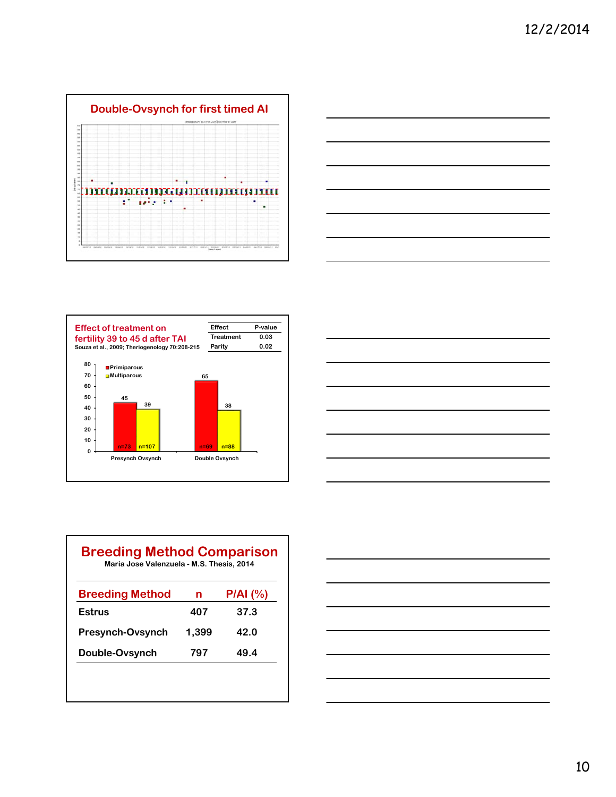







| <b>Breeding Method</b> | n     | P/AI (%) |
|------------------------|-------|----------|
| Estrus                 | 407   | 37.3     |
| Presynch-Ovsynch       | 1,399 | 42.O     |
| Double-Ovsynch         | 797   | 49.4     |

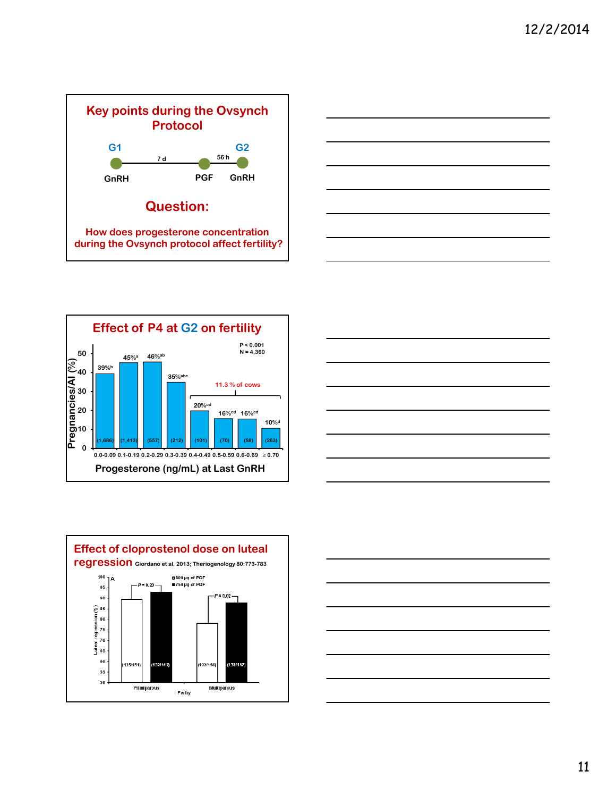









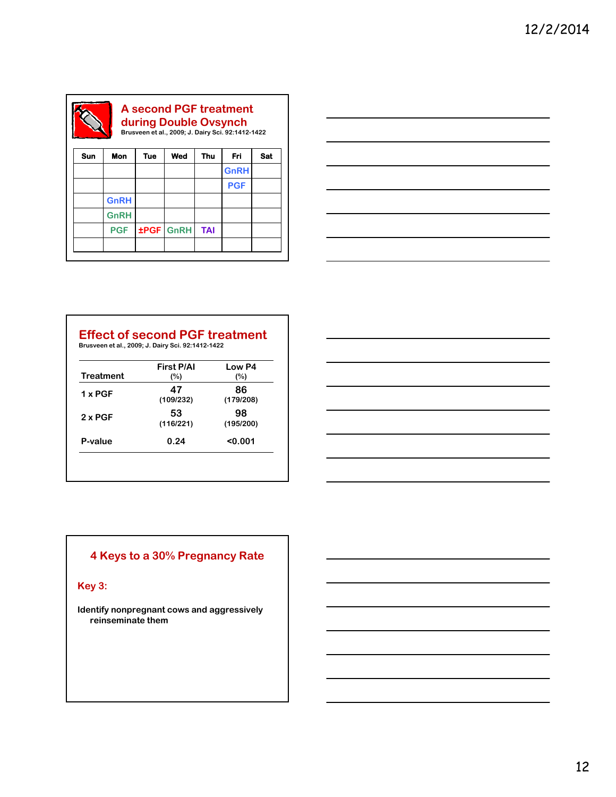| during Double Ovsynch<br>Brusveen et al., 2009; J. Dairy Sci. 92:1412-1422 |             |     |                  |            |             |            |  |
|----------------------------------------------------------------------------|-------------|-----|------------------|------------|-------------|------------|--|
| <b>Sun</b>                                                                 | Mon         | Tue | Wed              | Thu        | Fri         | <b>Sat</b> |  |
|                                                                            |             |     |                  |            | <b>GnRH</b> |            |  |
|                                                                            |             |     |                  |            | <b>PGF</b>  |            |  |
|                                                                            | <b>GnRH</b> |     |                  |            |             |            |  |
|                                                                            | <b>GnRH</b> |     |                  |            |             |            |  |
|                                                                            | <b>PGF</b>  |     | <b>±PGF GnRH</b> | <b>TAI</b> |             |            |  |



## **Effect of second PGF treatment Brusveen et al., 2009; J. Dairy Sci. 92:1412-1422**

| <b>Treatment</b> | <b>First P/AI</b><br>(%) | Low P4<br>$(\%)$ |
|------------------|--------------------------|------------------|
| $1 \times PGF$   | 47<br>(109/232)          | 86<br>(179/208)  |
| $2 \times PGF$   | 53<br>(116/221)          | 98<br>(195/200)  |
| P-value          | 0.24                     | 0.001            |



## **4 Keys to a 30% Pregnancy Rate**

**Key 3:**

**Identify nonpregnant cows and aggressively reinseminate them**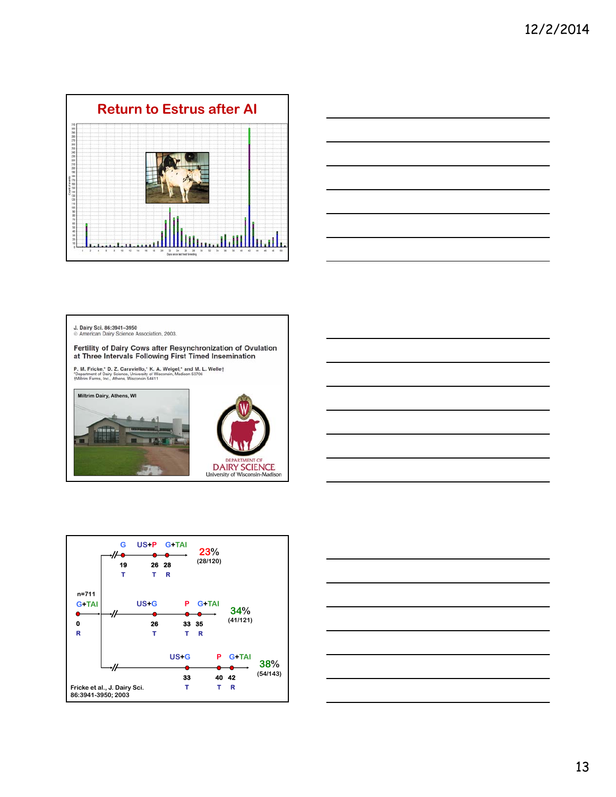



J. Dairy Sci. 86:3941-3950<br>© American Dairy Science Association, 2003.

Fertility of Dairy Cows after Resynchronization of Ovulation at Three Intervals Following First Timed Insemination

P. M. Fricke,\* D. Z. Caraviello,\* K. A. Weigel,\* and M. L. Welle†<br>"Department of Dairy Science, University of Wisconsin, Madison 53706<br>†Miltrim Farms, Inc., Athens, Wisconsin 54411

**Miltrim Dairy, Athens, WI**









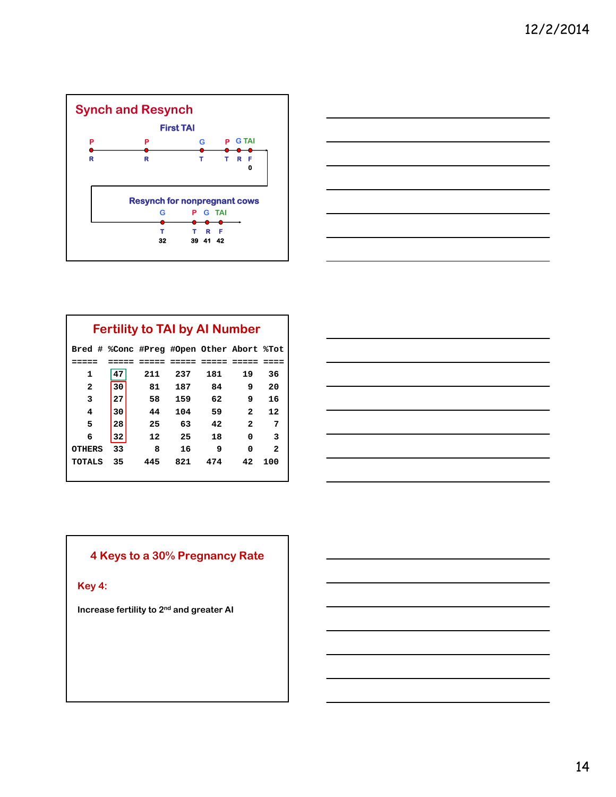



|               |    | <b>Fertility to TAI by AI Number</b>      |       |     |                |                |
|---------------|----|-------------------------------------------|-------|-----|----------------|----------------|
|               |    | Bred # %Conc #Preg #Open Other Abort %Tot |       |     |                |                |
|               |    |                                           | ===== |     |                |                |
| 1             | 47 | 211                                       | 237   | 181 | 19             | 36             |
| 2             | 30 | 81                                        | 187   | 84  | 9              | 20             |
| 3             | 27 | 58                                        | 159   | 62  | 9              | 16             |
| 4             | 30 | 44                                        | 104   | 59  | $\mathbf{z}$   | 12             |
| 5             | 28 | 25                                        | 63    | 42  | $\overline{2}$ | 7              |
| 6             | 32 | 12                                        | 25    | 18  | 0              | 3              |
| <b>OTHERS</b> | 33 | 8                                         | 16    | 9   | 0              | $\overline{2}$ |
| <b>TOTALS</b> | 35 | 445                                       | 821   | 474 | 42             | 100            |



## **4 Keys to a 30% Pregnancy Rate**

**Key 4:**

**Increase fertility to 2nd and greater AI**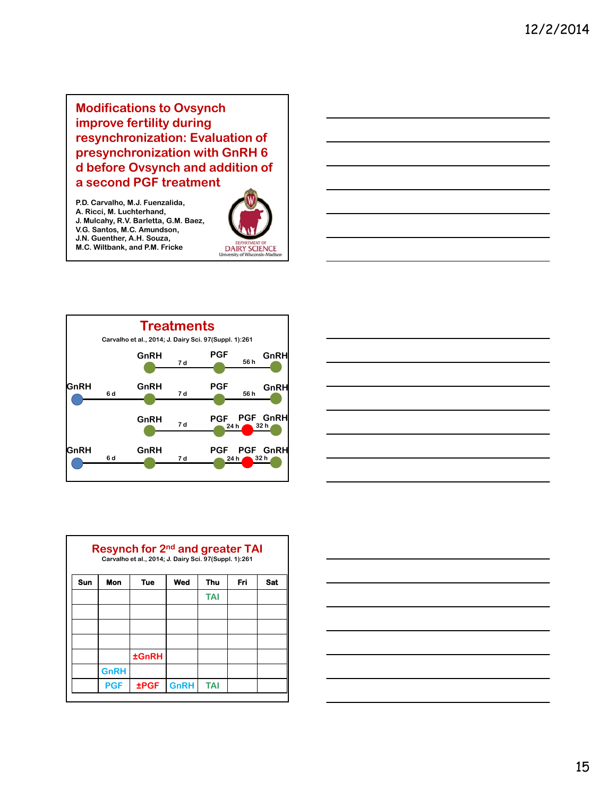**Modifications to Ovsynch improve fertility during resynchronization: Evaluation of presynchronization with GnRH 6 d before Ovsynch and addition of a second PGF treatment**

**P.D. Carvalho, M.J. Fuenzalida, A. Ricci, M. Luchterhand, J. Mulcahy, R.V. Barletta, G.M. Baez, V.G. Santos, M.C. Amundson, J.N. Guenther, A.H. Souza, M.C. Wiltbank, and P.M. Fricke**





|            |             | Resynch for 2 <sup>nd</sup> and greater TAI<br>Carvalho et al., 2014; J. Dairy Sci. 97(Suppl. 1):261 |             |            |     |            |
|------------|-------------|------------------------------------------------------------------------------------------------------|-------------|------------|-----|------------|
| <b>Sun</b> | Mon         | Tue                                                                                                  | Wed         | Thu        | Fri | <b>Sat</b> |
|            |             |                                                                                                      |             | <b>TAI</b> |     |            |
|            |             |                                                                                                      |             |            |     |            |
|            |             |                                                                                                      |             |            |     |            |
|            |             |                                                                                                      |             |            |     |            |
|            |             | <b>±GnRH</b>                                                                                         |             |            |     |            |
|            | <b>GnRH</b> |                                                                                                      |             |            |     |            |
|            | <b>PGF</b>  | <b>±PGF</b>                                                                                          | <b>GnRH</b> | <b>TAI</b> |     |            |

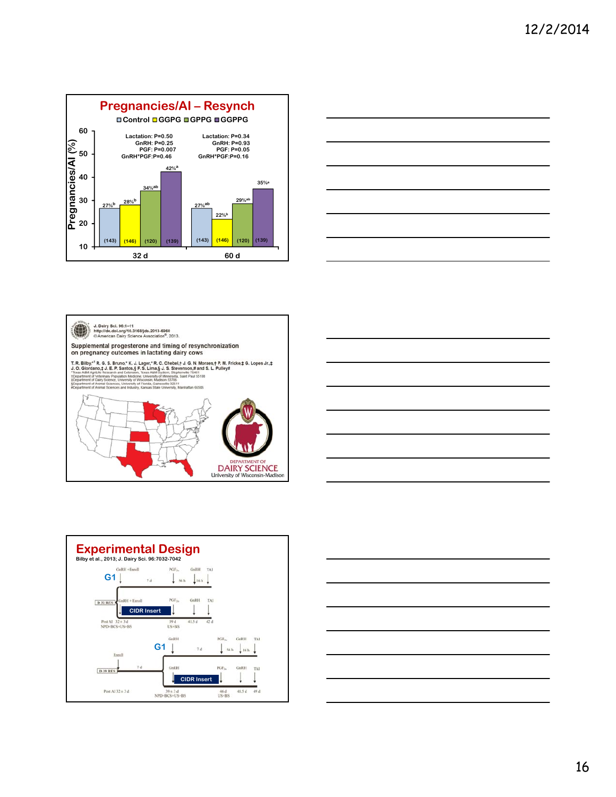









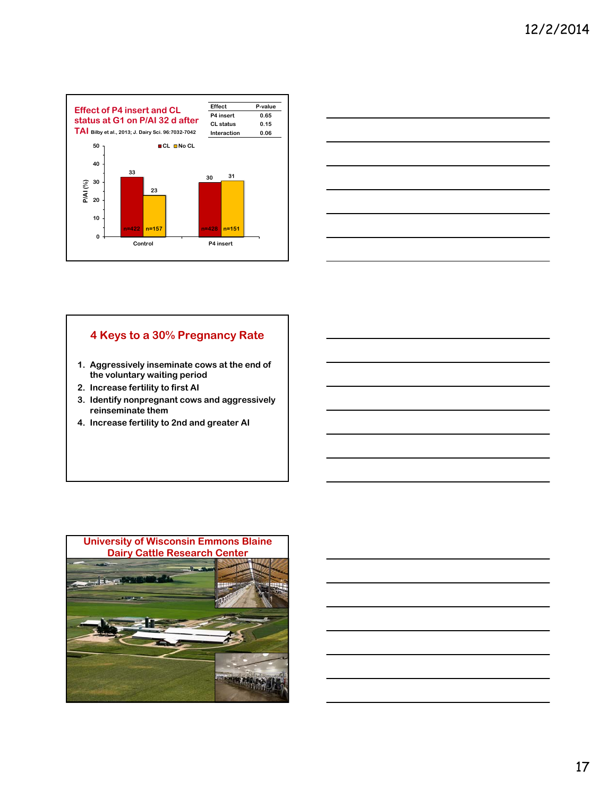



### **4 Keys to a 30% Pregnancy Rate**

- **1. Aggressively inseminate cows at the end of the voluntary waiting period**
- **2. Increase fertility to first AI**
- **3. Identify nonpregnant cows and aggressively reinseminate them**
- **4. Increase fertility to 2nd and greater AI**

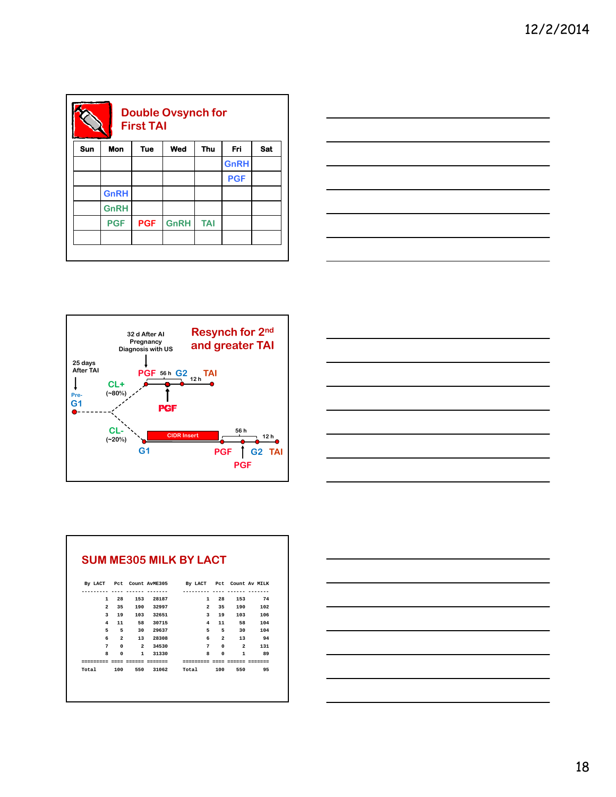| <b>Double Ovsynch for</b><br><b>First TAI</b> |             |            |             |            |             |     |  |  |
|-----------------------------------------------|-------------|------------|-------------|------------|-------------|-----|--|--|
| Sun                                           | Mon         | <b>Tue</b> | Wed         | Thu        | Fri         | Sat |  |  |
|                                               |             |            |             |            | <b>GnRH</b> |     |  |  |
|                                               |             |            |             |            | <b>PGF</b>  |     |  |  |
|                                               | <b>GnRH</b> |            |             |            |             |     |  |  |
|                                               | <b>GnRH</b> |            |             |            |             |     |  |  |
|                                               | <b>PGF</b>  | <b>PGF</b> | <b>GnRH</b> | <b>TAI</b> |             |     |  |  |
|                                               |             |            |             |            |             |     |  |  |
|                                               |             |            |             |            |             |     |  |  |







|                               |                          |                | By LACT Pct Count AVME305 By LACT Pct Count Av MILK |                |                     |        |
|-------------------------------|--------------------------|----------------|-----------------------------------------------------|----------------|---------------------|--------|
|                               |                          |                |                                                     |                |                     |        |
|                               |                          | 1 28 153 28187 |                                                     | 1 28           |                     | 153 74 |
|                               |                          | 2 35 190 32997 |                                                     |                | 2 35 190 102        |        |
|                               |                          | 3 19 103 32651 |                                                     | 3 19           | 103                 | 106    |
| 4                             |                          | 11 58 30715    |                                                     | $\overline{4}$ | 11 58               | 104    |
| 5                             | $\overline{\phantom{0}}$ | 30 29637       |                                                     |                | 5 5 30              | 104    |
| 6                             | $\overline{2}$           | 13 28308       |                                                     |                | 6 2 13 94           |        |
|                               | 7 0                      | 2 34530        |                                                     | 7              | $0\qquad 2$         | 131    |
| 8                             | $\Omega$                 | 1 31330        |                                                     | 8.<br>$\Omega$ |                     | 1 89   |
| ========= ==== ====== ======= |                          |                | =========                                           |                | ---- ------ ------- |        |
|                               |                          |                | Total 100 550 31062 Total 100 550 95                |                |                     |        |